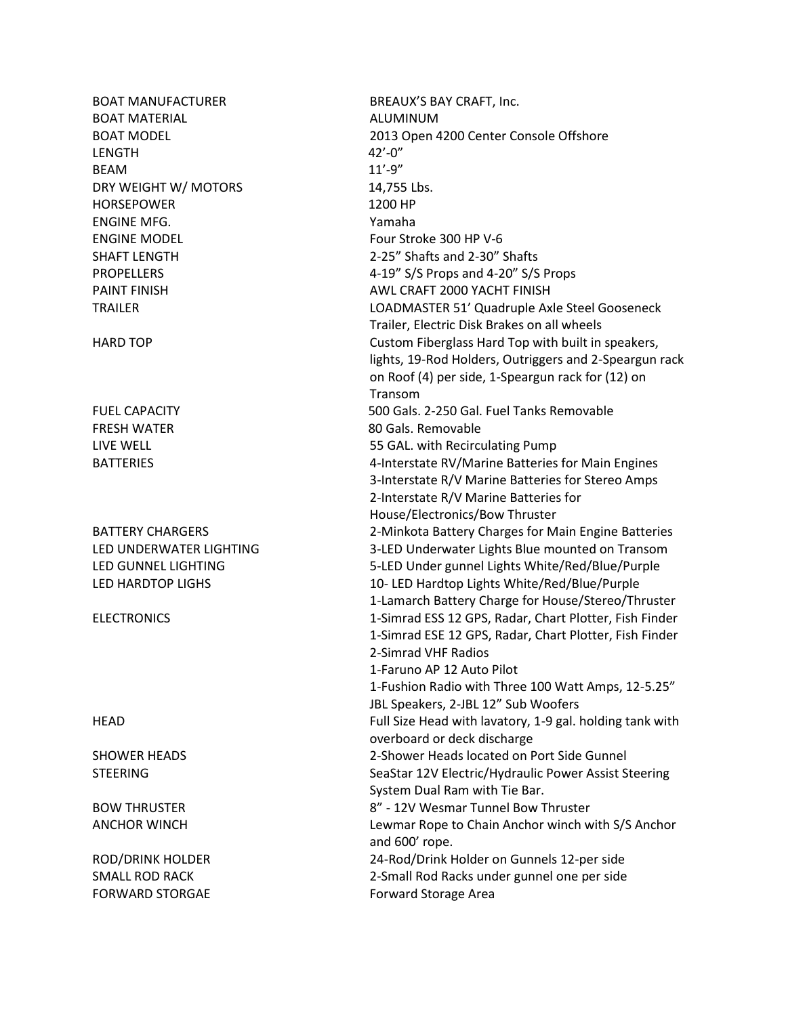BOAT MANUFACTURER BREAUX'S BAY CRAFT, Inc. BOAT MATERIAL **ALUMINUM** LENGTH 42'-0" BEAM and the set of the set of the set of the set of the set of the set of the set of the set of the set of the set of the set of the set of the set of the set of the set of the set of the set of the set of the set of the DRY WEIGHT W/ MOTORS 14.755 Lbs. HORSEPOWER 1200 HP ENGINE MFG. Yamaha ENGINE MODEL Four Stroke 300 HP V-6 SHAFT LENGTH 2-25" Shafts and 2-30" Shafts FRESH WATER 80 Gals. Removable

BOAT MODEL 2013 Open 4200 Center Console Offshore PROPELLERS 4-19" S/S Props and 4-20" S/S Props PAINT FINISH **AWL CRAFT 2000 YACHT FINISH** TRAILER LOADMASTER 51' Quadruple Axle Steel Gooseneck Trailer, Electric Disk Brakes on all wheels HARD TOP **Custom Fiberglass Hard Top with built in speakers,** lights, 19-Rod Holders, Outriggers and 2-Speargun rack on Roof (4) per side, 1-Speargun rack for (12) on Transom FUEL CAPACITY 500 Gals. 2-250 Gal. Fuel Tanks Removable LIVE WELL 55 GAL. with Recirculating Pump BATTERIES 4-Interstate RV/Marine Batteries for Main Engines 3-Interstate R/V Marine Batteries for Stereo Amps 2-Interstate R/V Marine Batteries for House/Electronics/Bow Thruster BATTERY CHARGERS 2-Minkota Battery Charges for Main Engine Batteries LED UNDERWATER LIGHTING 3-LED Underwater Lights Blue mounted on Transom LED GUNNEL LIGHTING 5-LED Under gunnel Lights White/Red/Blue/Purple LED HARDTOP LIGHS 10- LED Hardtop Lights White/Red/Blue/Purple 1-Lamarch Battery Charge for House/Stereo/Thruster ELECTRONICS 1-Simrad ESS 12 GPS, Radar, Chart Plotter, Fish Finder 1-Simrad ESE 12 GPS, Radar, Chart Plotter, Fish Finder 2-Simrad VHF Radios 1-Faruno AP 12 Auto Pilot 1-Fushion Radio with Three 100 Watt Amps, 12-5.25" JBL Speakers, 2-JBL 12" Sub Woofers HEAD Full Size Head with lavatory, 1-9 gal. holding tank with overboard or deck discharge SHOWER HEADS 2-Shower Heads located on Port Side Gunnel STEERING SEASTERING SeaStar 12V Electric/Hydraulic Power Assist Steering System Dual Ram with Tie Bar. BOW THRUSTER 8" - 12V Wesmar Tunnel Bow Thruster ANCHOR WINCH Lewmar Rope to Chain Anchor winch with S/S Anchor and 600' rope. ROD/DRINK HOLDER 24-Rod/Drink Holder on Gunnels 12-per side SMALL ROD RACK 2-Small Rod Racks under gunnel one per side FORWARD STORGAE FORWARD STORGAE